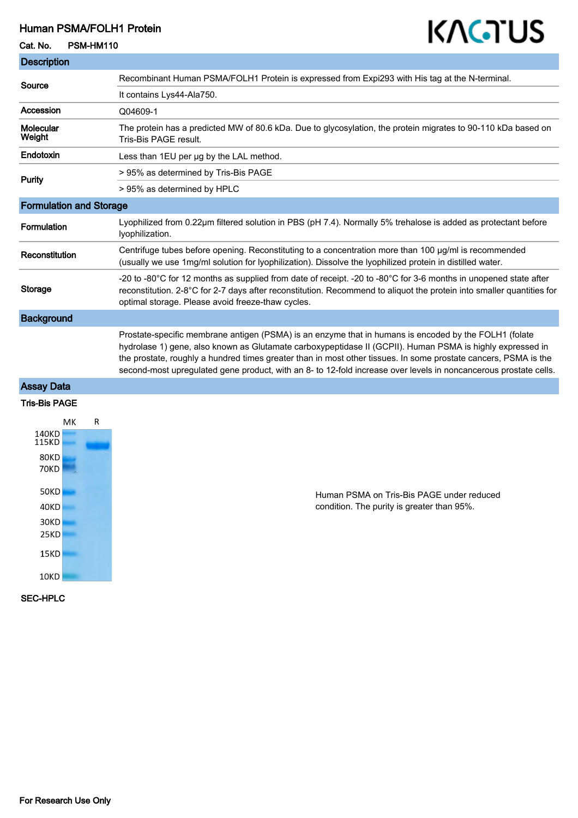### Human PSMA/FOLH1 Protein

#### Cat. No. PSM-HM110

# KAGTUS

| <b>Description</b>             |                                                                                                                                                                                                                                                                                                                                                                                                                                                           |
|--------------------------------|-----------------------------------------------------------------------------------------------------------------------------------------------------------------------------------------------------------------------------------------------------------------------------------------------------------------------------------------------------------------------------------------------------------------------------------------------------------|
| Source                         | Recombinant Human PSMA/FOLH1 Protein is expressed from Expi293 with His tag at the N-terminal.                                                                                                                                                                                                                                                                                                                                                            |
|                                | It contains Lys44-Ala750.                                                                                                                                                                                                                                                                                                                                                                                                                                 |
| Accession                      | Q04609-1                                                                                                                                                                                                                                                                                                                                                                                                                                                  |
| Molecular<br>Weight            | The protein has a predicted MW of 80.6 kDa. Due to glycosylation, the protein migrates to 90-110 kDa based on<br>Tris-Bis PAGE result.                                                                                                                                                                                                                                                                                                                    |
| Endotoxin                      | Less than 1EU per ug by the LAL method.                                                                                                                                                                                                                                                                                                                                                                                                                   |
| Purity                         | > 95% as determined by Tris-Bis PAGE                                                                                                                                                                                                                                                                                                                                                                                                                      |
|                                | > 95% as determined by HPLC                                                                                                                                                                                                                                                                                                                                                                                                                               |
| <b>Formulation and Storage</b> |                                                                                                                                                                                                                                                                                                                                                                                                                                                           |
| Formulation                    | Lyophilized from 0.22µm filtered solution in PBS (pH 7.4). Normally 5% trehalose is added as protectant before<br>lyophilization.                                                                                                                                                                                                                                                                                                                         |
| Reconstitution                 | Centrifuge tubes before opening. Reconstituting to a concentration more than 100 µg/ml is recommended<br>(usually we use 1mg/ml solution for lyophilization). Dissolve the lyophilized protein in distilled water.                                                                                                                                                                                                                                        |
| <b>Storage</b>                 | -20 to -80°C for 12 months as supplied from date of receipt. -20 to -80°C for 3-6 months in unopened state after<br>reconstitution. 2-8°C for 2-7 days after reconstitution. Recommend to aliquot the protein into smaller quantities for<br>optimal storage. Please avoid freeze-thaw cycles.                                                                                                                                                            |
| <b>Background</b>              |                                                                                                                                                                                                                                                                                                                                                                                                                                                           |
|                                | Prostate-specific membrane antigen (PSMA) is an enzyme that in humans is encoded by the FOLH1 (folate<br>hydrolase 1) gene, also known as Glutamate carboxypeptidase II (GCPII). Human PSMA is highly expressed in<br>the prostate, roughly a hundred times greater than in most other tissues. In some prostate cancers, PSMA is the<br>second-most upregulated gene product, with an 8- to 12-fold increase over levels in noncancerous prostate cells. |

## Assay Data

#### Tris-Bis PAGE



Human PSMA on Tris-Bis PAGE under reduced condition. The purity is greater than 95%.

#### SEC-HPLC